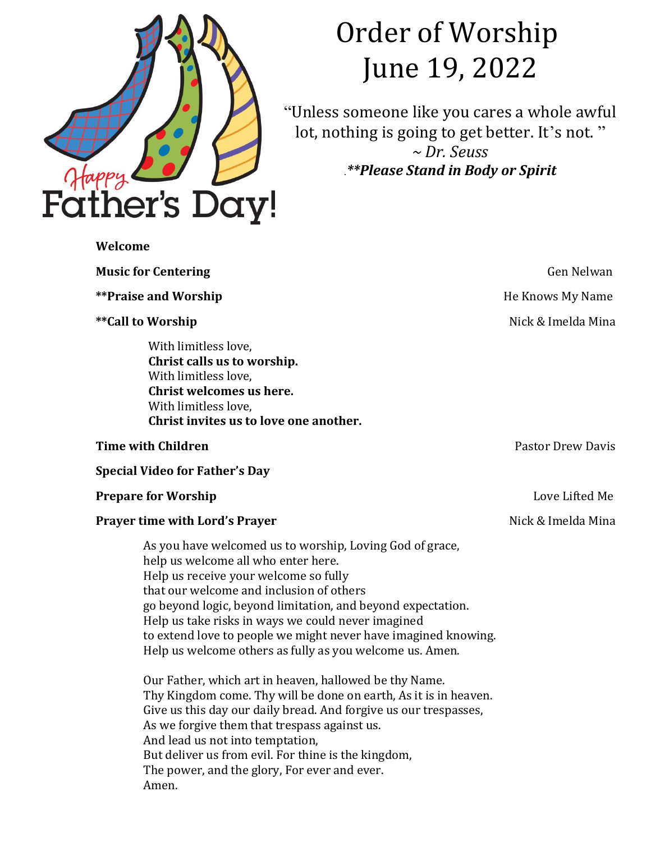

# Order of Worship June 19, 2022

"Unless someone like you cares a whole awful lot, nothing is going to get better. It's not." *~ Dr. Seuss .\*\*Please Stand in Body or Spirit*

| Welcome                                                                                                                                                                   |                    |
|---------------------------------------------------------------------------------------------------------------------------------------------------------------------------|--------------------|
| <b>Music for Centering</b>                                                                                                                                                | Gen Nelwan         |
| <b>**Praise and Worship</b>                                                                                                                                               | He Knows My Name   |
| **Call to Worship                                                                                                                                                         | Nick & Imelda Mina |
| With limitless love,<br>Christ calls us to worship.<br>With limitless love,<br>Christ welcomes us here.<br>With limitless love,<br>Christ invites us to love one another. |                    |
| <b>Time with Children</b>                                                                                                                                                 | Pastor Drew Davis  |

**Special Video for Father's Day**

### **Prepare for Worship** Love Lifted Me

#### **Prayer time with Lord's Prayer** Nick & Imelda Mina

As you have welcomed us to worship, Loving God of grace, help us welcome all who enter here. Help us receive your welcome so fully that our welcome and inclusion of others go beyond logic, beyond limitation, and beyond expectation. Help us take risks in ways we could never imagined to extend love to people we might never have imagined knowing. Help us welcome others as fully as you welcome us. Amen.

Our Father, which art in heaven, hallowed be thy Name. Thy Kingdom come. Thy will be done on earth, As it is in heaven. Give us this day our daily bread. And forgive us our trespasses, As we forgive them that trespass against us. And lead us not into temptation, But deliver us from evil. For thine is the kingdom, The power, and the glory, For ever and ever. Amen.